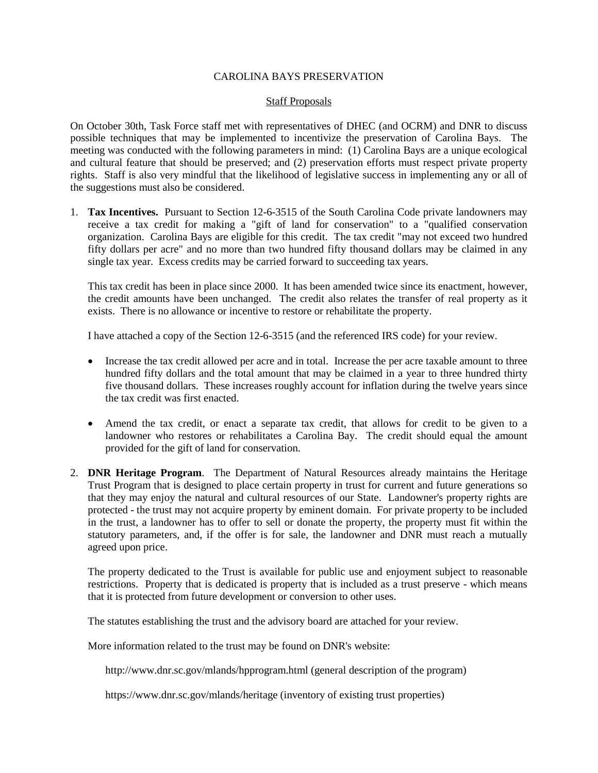# CAROLINA BAYS PRESERVATION

# Staff Proposals

On October 30th, Task Force staff met with representatives of DHEC (and OCRM) and DNR to discuss possible techniques that may be implemented to incentivize the preservation of Carolina Bays. The meeting was conducted with the following parameters in mind: (1) Carolina Bays are a unique ecological and cultural feature that should be preserved; and (2) preservation efforts must respect private property rights. Staff is also very mindful that the likelihood of legislative success in implementing any or all of the suggestions must also be considered.

1. **Tax Incentives.** Pursuant to Section 12-6-3515 of the South Carolina Code private landowners may receive a tax credit for making a "gift of land for conservation" to a "qualified conservation organization. Carolina Bays are eligible for this credit. The tax credit "may not exceed two hundred fifty dollars per acre" and no more than two hundred fifty thousand dollars may be claimed in any single tax year. Excess credits may be carried forward to succeeding tax years.

This tax credit has been in place since 2000. It has been amended twice since its enactment, however, the credit amounts have been unchanged. The credit also relates the transfer of real property as it exists. There is no allowance or incentive to restore or rehabilitate the property.

I have attached a copy of the Section 12-6-3515 (and the referenced IRS code) for your review.

- Increase the tax credit allowed per acre and in total. Increase the per acre taxable amount to three hundred fifty dollars and the total amount that may be claimed in a year to three hundred thirty five thousand dollars. These increases roughly account for inflation during the twelve years since the tax credit was first enacted.
- Amend the tax credit, or enact a separate tax credit, that allows for credit to be given to a landowner who restores or rehabilitates a Carolina Bay. The credit should equal the amount provided for the gift of land for conservation.
- 2. **DNR Heritage Program**. The Department of Natural Resources already maintains the Heritage Trust Program that is designed to place certain property in trust for current and future generations so that they may enjoy the natural and cultural resources of our State. Landowner's property rights are protected - the trust may not acquire property by eminent domain. For private property to be included in the trust, a landowner has to offer to sell or donate the property, the property must fit within the statutory parameters, and, if the offer is for sale, the landowner and DNR must reach a mutually agreed upon price.

The property dedicated to the Trust is available for public use and enjoyment subject to reasonable restrictions. Property that is dedicated is property that is included as a trust preserve - which means that it is protected from future development or conversion to other uses.

The statutes establishing the trust and the advisory board are attached for your review.

More information related to the trust may be found on DNR's website:

http://www.dnr.sc.gov/mlands/hpprogram.html (general description of the program)

https://www.dnr.sc.gov/mlands/heritage (inventory of existing trust properties)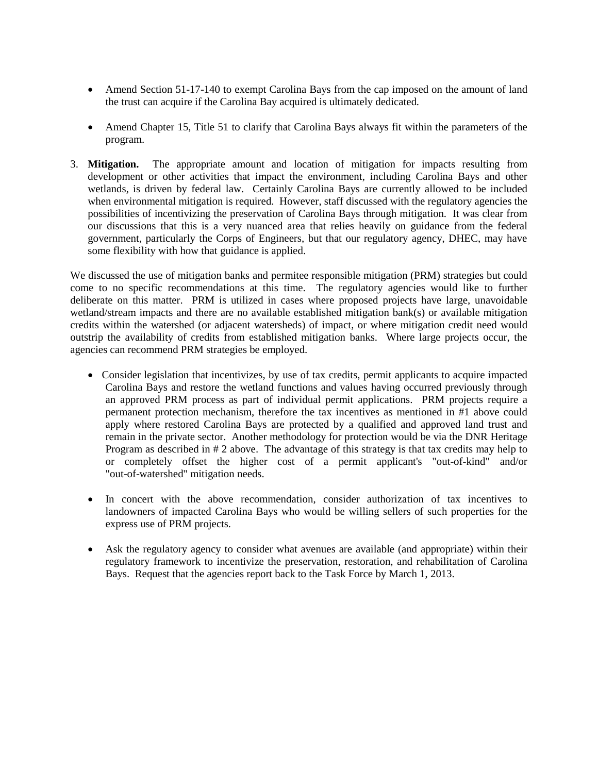- Amend Section 51-17-140 to exempt Carolina Bays from the cap imposed on the amount of land the trust can acquire if the Carolina Bay acquired is ultimately dedicated.
- Amend Chapter 15, Title 51 to clarify that Carolina Bays always fit within the parameters of the program.
- 3. **Mitigation.** The appropriate amount and location of mitigation for impacts resulting from development or other activities that impact the environment, including Carolina Bays and other wetlands, is driven by federal law. Certainly Carolina Bays are currently allowed to be included when environmental mitigation is required. However, staff discussed with the regulatory agencies the possibilities of incentivizing the preservation of Carolina Bays through mitigation. It was clear from our discussions that this is a very nuanced area that relies heavily on guidance from the federal government, particularly the Corps of Engineers, but that our regulatory agency, DHEC, may have some flexibility with how that guidance is applied.

We discussed the use of mitigation banks and permitee responsible mitigation (PRM) strategies but could come to no specific recommendations at this time. The regulatory agencies would like to further deliberate on this matter. PRM is utilized in cases where proposed projects have large, unavoidable wetland/stream impacts and there are no available established mitigation bank(s) or available mitigation credits within the watershed (or adjacent watersheds) of impact, or where mitigation credit need would outstrip the availability of credits from established mitigation banks. Where large projects occur, the agencies can recommend PRM strategies be employed.

- Consider legislation that incentivizes, by use of tax credits, permit applicants to acquire impacted Carolina Bays and restore the wetland functions and values having occurred previously through an approved PRM process as part of individual permit applications. PRM projects require a permanent protection mechanism, therefore the tax incentives as mentioned in #1 above could apply where restored Carolina Bays are protected by a qualified and approved land trust and remain in the private sector. Another methodology for protection would be via the DNR Heritage Program as described in # 2 above. The advantage of this strategy is that tax credits may help to or completely offset the higher cost of a permit applicant's "out-of-kind" and/or "out-of-watershed" mitigation needs.
- In concert with the above recommendation, consider authorization of tax incentives to landowners of impacted Carolina Bays who would be willing sellers of such properties for the express use of PRM projects.
- Ask the regulatory agency to consider what avenues are available (and appropriate) within their regulatory framework to incentivize the preservation, restoration, and rehabilitation of Carolina Bays. Request that the agencies report back to the Task Force by March 1, 2013.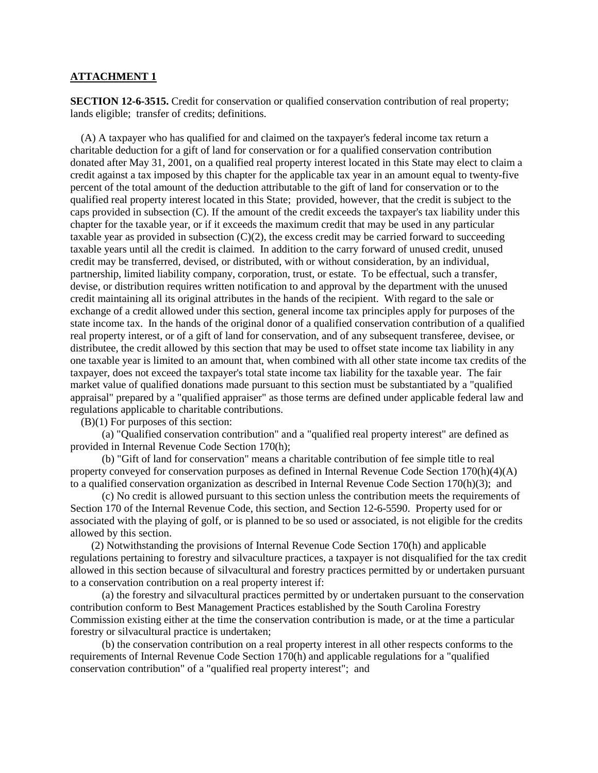### **ATTACHMENT 1**

**SECTION 12-6-3515.** Credit for conservation or qualified conservation contribution of real property; lands eligible; transfer of credits; definitions.

(A) A taxpayer who has qualified for and claimed on the taxpayer's federal income tax return a charitable deduction for a gift of land for conservation or for a qualified conservation contribution donated after May 31, 2001, on a qualified real property interest located in this State may elect to claim a credit against a tax imposed by this chapter for the applicable tax year in an amount equal to twenty-five percent of the total amount of the deduction attributable to the gift of land for conservation or to the qualified real property interest located in this State; provided, however, that the credit is subject to the caps provided in subsection (C). If the amount of the credit exceeds the taxpayer's tax liability under this chapter for the taxable year, or if it exceeds the maximum credit that may be used in any particular taxable year as provided in subsection (C)(2), the excess credit may be carried forward to succeeding taxable years until all the credit is claimed. In addition to the carry forward of unused credit, unused credit may be transferred, devised, or distributed, with or without consideration, by an individual, partnership, limited liability company, corporation, trust, or estate. To be effectual, such a transfer, devise, or distribution requires written notification to and approval by the department with the unused credit maintaining all its original attributes in the hands of the recipient. With regard to the sale or exchange of a credit allowed under this section, general income tax principles apply for purposes of the state income tax. In the hands of the original donor of a qualified conservation contribution of a qualified real property interest, or of a gift of land for conservation, and of any subsequent transferee, devisee, or distributee, the credit allowed by this section that may be used to offset state income tax liability in any one taxable year is limited to an amount that, when combined with all other state income tax credits of the taxpayer, does not exceed the taxpayer's total state income tax liability for the taxable year. The fair market value of qualified donations made pursuant to this section must be substantiated by a "qualified appraisal" prepared by a "qualified appraiser" as those terms are defined under applicable federal law and regulations applicable to charitable contributions.

(B)(1) For purposes of this section:

(a) "Qualified conservation contribution" and a "qualified real property interest" are defined as provided in Internal Revenue Code Section 170(h);

(b) "Gift of land for conservation" means a charitable contribution of fee simple title to real property conveyed for conservation purposes as defined in Internal Revenue Code Section 170(h)(4)(A) to a qualified conservation organization as described in Internal Revenue Code Section 170(h)(3); and

(c) No credit is allowed pursuant to this section unless the contribution meets the requirements of Section 170 of the Internal Revenue Code, this section, and Section 12-6-5590. Property used for or associated with the playing of golf, or is planned to be so used or associated, is not eligible for the credits allowed by this section.

(2) Notwithstanding the provisions of Internal Revenue Code Section 170(h) and applicable regulations pertaining to forestry and silvaculture practices, a taxpayer is not disqualified for the tax credit allowed in this section because of silvacultural and forestry practices permitted by or undertaken pursuant to a conservation contribution on a real property interest if:

(a) the forestry and silvacultural practices permitted by or undertaken pursuant to the conservation contribution conform to Best Management Practices established by the South Carolina Forestry Commission existing either at the time the conservation contribution is made, or at the time a particular forestry or silvacultural practice is undertaken;

(b) the conservation contribution on a real property interest in all other respects conforms to the requirements of Internal Revenue Code Section 170(h) and applicable regulations for a "qualified conservation contribution" of a "qualified real property interest"; and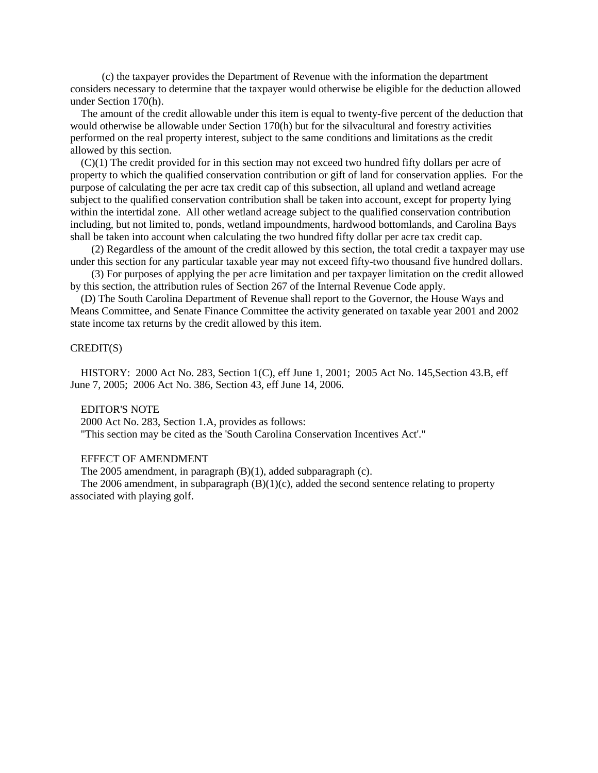(c) the taxpayer provides the Department of Revenue with the information the department considers necessary to determine that the taxpayer would otherwise be eligible for the deduction allowed under Section 170(h).

The amount of the credit allowable under this item is equal to twenty-five percent of the deduction that would otherwise be allowable under Section 170(h) but for the silvacultural and forestry activities performed on the real property interest, subject to the same conditions and limitations as the credit allowed by this section.

(C)(1) The credit provided for in this section may not exceed two hundred fifty dollars per acre of property to which the qualified conservation contribution or gift of land for conservation applies. For the purpose of calculating the per acre tax credit cap of this subsection, all upland and wetland acreage subject to the qualified conservation contribution shall be taken into account, except for property lying within the intertidal zone. All other wetland acreage subject to the qualified conservation contribution including, but not limited to, ponds, wetland impoundments, hardwood bottomlands, and Carolina Bays shall be taken into account when calculating the two hundred fifty dollar per acre tax credit cap.

(2) Regardless of the amount of the credit allowed by this section, the total credit a taxpayer may use under this section for any particular taxable year may not exceed fifty-two thousand five hundred dollars.

(3) For purposes of applying the per acre limitation and per taxpayer limitation on the credit allowed by this section, the attribution rules of Section 267 of the Internal Revenue Code apply.

(D) The South Carolina Department of Revenue shall report to the Governor, the House Ways and Means Committee, and Senate Finance Committee the activity generated on taxable year 2001 and 2002 state income tax returns by the credit allowed by this item.

# CREDIT(S)

HISTORY: 2000 Act No. 283, Section 1(C), eff June 1, 2001; 2005 Act No. 145,Section 43.B, eff June 7, 2005; 2006 Act No. 386, Section 43, eff June 14, 2006.

### EDITOR'S NOTE

2000 Act No. 283, Section 1.A, provides as follows:

"This section may be cited as the 'South Carolina Conservation Incentives Act'."

### EFFECT OF AMENDMENT

The 2005 amendment, in paragraph (B)(1), added subparagraph (c).

The 2006 amendment, in subparagraph  $(B)(1)(c)$ , added the second sentence relating to property associated with playing golf.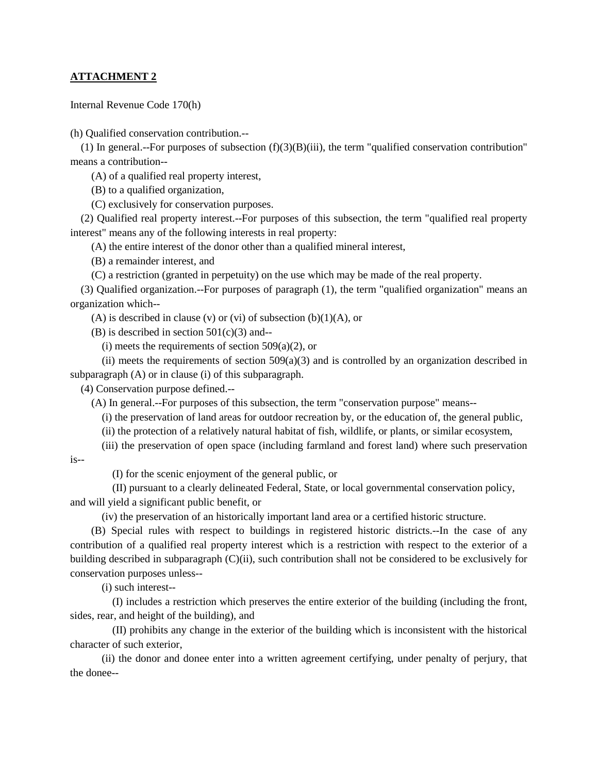# **ATTACHMENT 2**

Internal Revenue Code 170(h)

(h) Qualified conservation contribution.--

(1) In general.--For purposes of subsection  $(f)(3)(B)(iii)$ , the term "qualified conservation contribution" means a contribution--

(A) of a qualified real property interest,

(B) to a qualified organization,

(C) exclusively for conservation purposes.

(2) Qualified real property interest.--For purposes of this subsection, the term "qualified real property interest" means any of the following interests in real property:

(A) the entire interest of the donor other than a qualified mineral interest,

(B) a remainder interest, and

(C) a restriction (granted in perpetuity) on the use which may be made of the real property.

(3) Qualified organization.--For purposes of paragraph (1), the term "qualified organization" means an organization which--

(A) is described in clause (v) or (vi) of subsection  $(b)(1)(A)$ , or

 $(B)$  is described in section 501 $(c)(3)$  and--

(i) meets the requirements of section  $509(a)(2)$ , or

(ii) meets the requirements of section  $509(a)(3)$  and is controlled by an organization described in subparagraph (A) or in clause (i) of this subparagraph.

(4) Conservation purpose defined.--

(A) In general.--For purposes of this subsection, the term "conservation purpose" means--

(i) the preservation of land areas for outdoor recreation by, or the education of, the general public,

(ii) the protection of a relatively natural habitat of fish, wildlife, or plants, or similar ecosystem,

(iii) the preservation of open space (including farmland and forest land) where such preservation

is--

(I) for the scenic enjoyment of the general public, or

(II) pursuant to a clearly delineated Federal, State, or local governmental conservation policy, and will yield a significant public benefit, or

(iv) the preservation of an historically important land area or a certified historic structure.

(B) Special rules with respect to buildings in registered historic districts.--In the case of any contribution of a qualified real property interest which is a restriction with respect to the exterior of a building described in subparagraph (C)(ii), such contribution shall not be considered to be exclusively for conservation purposes unless--

(i) such interest--

(I) includes a restriction which preserves the entire exterior of the building (including the front, sides, rear, and height of the building), and

(II) prohibits any change in the exterior of the building which is inconsistent with the historical character of such exterior,

(ii) the donor and donee enter into a written agreement certifying, under penalty of perjury, that the donee--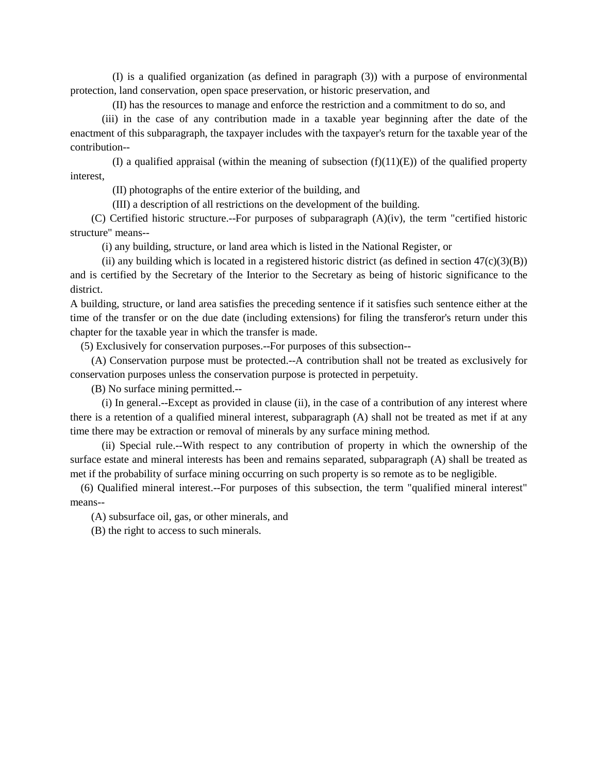(I) is a qualified organization (as defined in paragraph (3)) with a purpose of environmental protection, land conservation, open space preservation, or historic preservation, and

(II) has the resources to manage and enforce the restriction and a commitment to do so, and

(iii) in the case of any contribution made in a taxable year beginning after the date of the enactment of this subparagraph, the taxpayer includes with the taxpayer's return for the taxable year of the contribution--

(I) a qualified appraisal (within the meaning of subsection  $(f)(11)(E)$ ) of the qualified property interest,

(II) photographs of the entire exterior of the building, and

(III) a description of all restrictions on the development of the building.

(C) Certified historic structure.--For purposes of subparagraph (A)(iv), the term "certified historic structure" means--

(i) any building, structure, or land area which is listed in the National Register, or

(ii) any building which is located in a registered historic district (as defined in section  $47(c)(3)(B)$ ) and is certified by the Secretary of the Interior to the Secretary as being of historic significance to the district.

A building, structure, or land area satisfies the preceding sentence if it satisfies such sentence either at the time of the transfer or on the due date (including extensions) for filing the transferor's return under this chapter for the taxable year in which the transfer is made.

(5) Exclusively for conservation purposes.--For purposes of this subsection--

(A) Conservation purpose must be protected.--A contribution shall not be treated as exclusively for conservation purposes unless the conservation purpose is protected in perpetuity.

(B) No surface mining permitted.--

(i) In general.--Except as provided in clause (ii), in the case of a contribution of any interest where there is a retention of a qualified mineral interest, subparagraph (A) shall not be treated as met if at any time there may be extraction or removal of minerals by any surface mining method.

(ii) Special rule.--With respect to any contribution of property in which the ownership of the surface estate and mineral interests has been and remains separated, subparagraph (A) shall be treated as met if the probability of surface mining occurring on such property is so remote as to be negligible.

(6) Qualified mineral interest.--For purposes of this subsection, the term "qualified mineral interest" means--

(A) subsurface oil, gas, or other minerals, and

(B) the right to access to such minerals.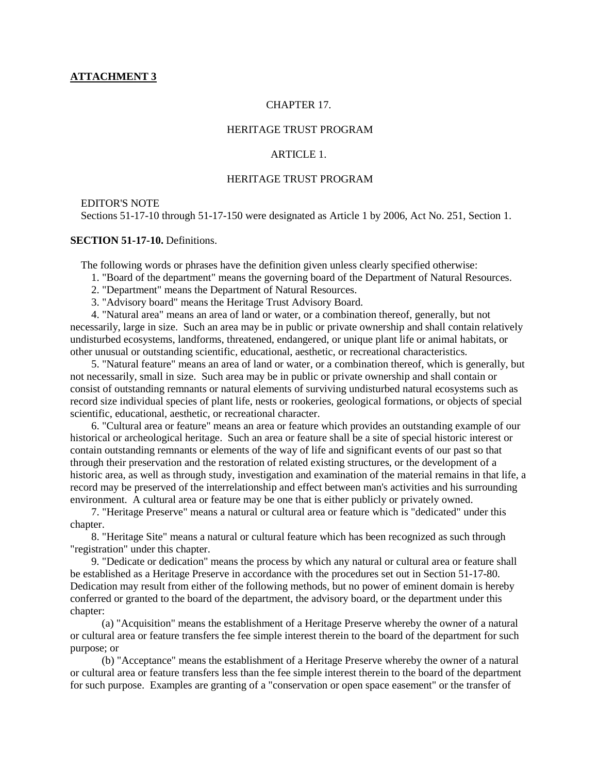# CHAPTER 17.

# HERITAGE TRUST PROGRAM

# ARTICLE 1

# HERITAGE TRUST PROGRAM

# EDITOR'S NOTE

Sections 51-17-10 through 51-17-150 were designated as Article 1 by 2006, Act No. 251, Section 1.

# **SECTION 51-17-10.** Definitions.

The following words or phrases have the definition given unless clearly specified otherwise:

- 1. "Board of the department" means the governing board of the Department of Natural Resources.
- 2. "Department" means the Department of Natural Resources.
- 3. "Advisory board" means the Heritage Trust Advisory Board.

4. "Natural area" means an area of land or water, or a combination thereof, generally, but not necessarily, large in size. Such an area may be in public or private ownership and shall contain relatively undisturbed ecosystems, landforms, threatened, endangered, or unique plant life or animal habitats, or other unusual or outstanding scientific, educational, aesthetic, or recreational characteristics.

5. "Natural feature" means an area of land or water, or a combination thereof, which is generally, but not necessarily, small in size. Such area may be in public or private ownership and shall contain or consist of outstanding remnants or natural elements of surviving undisturbed natural ecosystems such as record size individual species of plant life, nests or rookeries, geological formations, or objects of special scientific, educational, aesthetic, or recreational character.

6. "Cultural area or feature" means an area or feature which provides an outstanding example of our historical or archeological heritage. Such an area or feature shall be a site of special historic interest or contain outstanding remnants or elements of the way of life and significant events of our past so that through their preservation and the restoration of related existing structures, or the development of a historic area, as well as through study, investigation and examination of the material remains in that life, a record may be preserved of the interrelationship and effect between man's activities and his surrounding environment. A cultural area or feature may be one that is either publicly or privately owned.

7. "Heritage Preserve" means a natural or cultural area or feature which is "dedicated" under this chapter.

8. "Heritage Site" means a natural or cultural feature which has been recognized as such through "registration" under this chapter.

9. "Dedicate or dedication" means the process by which any natural or cultural area or feature shall be established as a Heritage Preserve in accordance with the procedures set out in Section 51-17-80. Dedication may result from either of the following methods, but no power of eminent domain is hereby conferred or granted to the board of the department, the advisory board, or the department under this chapter:

(a) "Acquisition" means the establishment of a Heritage Preserve whereby the owner of a natural or cultural area or feature transfers the fee simple interest therein to the board of the department for such purpose; or

(b) "Acceptance" means the establishment of a Heritage Preserve whereby the owner of a natural or cultural area or feature transfers less than the fee simple interest therein to the board of the department for such purpose. Examples are granting of a "conservation or open space easement" or the transfer of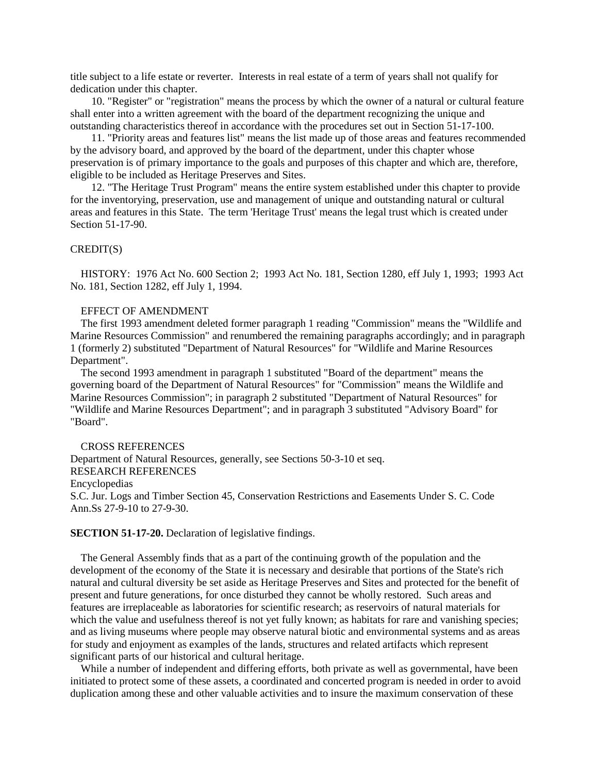title subject to a life estate or reverter. Interests in real estate of a term of years shall not qualify for dedication under this chapter.

10. "Register" or "registration" means the process by which the owner of a natural or cultural feature shall enter into a written agreement with the board of the department recognizing the unique and outstanding characteristics thereof in accordance with the procedures set out in Section 51-17-100.

11. "Priority areas and features list" means the list made up of those areas and features recommended by the advisory board, and approved by the board of the department, under this chapter whose preservation is of primary importance to the goals and purposes of this chapter and which are, therefore, eligible to be included as Heritage Preserves and Sites.

12. "The Heritage Trust Program" means the entire system established under this chapter to provide for the inventorying, preservation, use and management of unique and outstanding natural or cultural areas and features in this State. The term 'Heritage Trust' means the legal trust which is created under Section 51-17-90.

### CREDIT(S)

HISTORY: 1976 Act No. 600 Section 2; 1993 Act No. 181, Section 1280, eff July 1, 1993; 1993 Act No. 181, Section 1282, eff July 1, 1994.

### EFFECT OF AMENDMENT

The first 1993 amendment deleted former paragraph 1 reading "Commission" means the "Wildlife and Marine Resources Commission" and renumbered the remaining paragraphs accordingly; and in paragraph 1 (formerly 2) substituted "Department of Natural Resources" for "Wildlife and Marine Resources Department".

The second 1993 amendment in paragraph 1 substituted "Board of the department" means the governing board of the Department of Natural Resources" for "Commission" means the Wildlife and Marine Resources Commission"; in paragraph 2 substituted "Department of Natural Resources" for "Wildlife and Marine Resources Department"; and in paragraph 3 substituted "Advisory Board" for "Board".

# CROSS REFERENCES

Department of Natural Resources, generally, see Sections 50-3-10 et seq. RESEARCH REFERENCES Encyclopedias S.C. Jur. Logs and Timber Section 45, Conservation Restrictions and Easements Under S. C. Code Ann.Ss 27-9-10 to 27-9-30.

#### **SECTION 51-17-20.** Declaration of legislative findings.

The General Assembly finds that as a part of the continuing growth of the population and the development of the economy of the State it is necessary and desirable that portions of the State's rich natural and cultural diversity be set aside as Heritage Preserves and Sites and protected for the benefit of present and future generations, for once disturbed they cannot be wholly restored. Such areas and features are irreplaceable as laboratories for scientific research; as reservoirs of natural materials for which the value and usefulness thereof is not yet fully known; as habitats for rare and vanishing species; and as living museums where people may observe natural biotic and environmental systems and as areas for study and enjoyment as examples of the lands, structures and related artifacts which represent significant parts of our historical and cultural heritage.

While a number of independent and differing efforts, both private as well as governmental, have been initiated to protect some of these assets, a coordinated and concerted program is needed in order to avoid duplication among these and other valuable activities and to insure the maximum conservation of these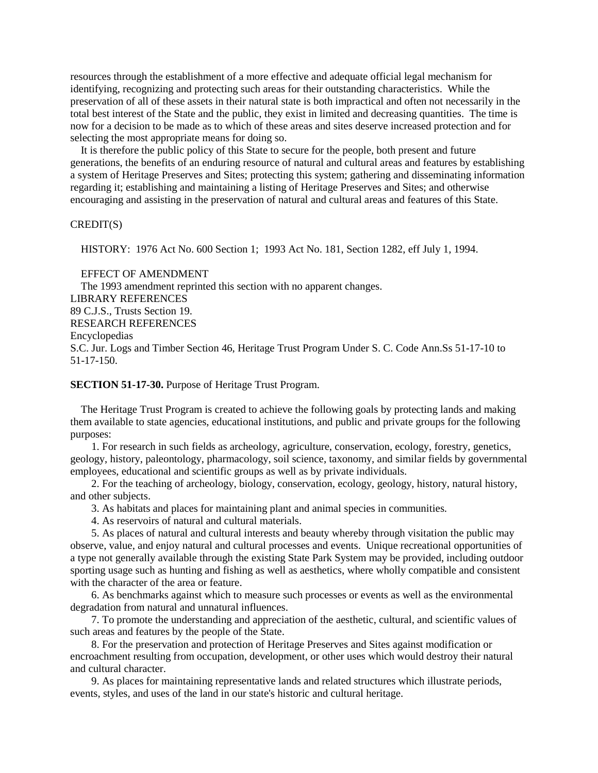resources through the establishment of a more effective and adequate official legal mechanism for identifying, recognizing and protecting such areas for their outstanding characteristics. While the preservation of all of these assets in their natural state is both impractical and often not necessarily in the total best interest of the State and the public, they exist in limited and decreasing quantities. The time is now for a decision to be made as to which of these areas and sites deserve increased protection and for selecting the most appropriate means for doing so.

It is therefore the public policy of this State to secure for the people, both present and future generations, the benefits of an enduring resource of natural and cultural areas and features by establishing a system of Heritage Preserves and Sites; protecting this system; gathering and disseminating information regarding it; establishing and maintaining a listing of Heritage Preserves and Sites; and otherwise encouraging and assisting in the preservation of natural and cultural areas and features of this State.

# CREDIT(S)

HISTORY: 1976 Act No. 600 Section 1; 1993 Act No. 181, Section 1282, eff July 1, 1994.

EFFECT OF AMENDMENT The 1993 amendment reprinted this section with no apparent changes. LIBRARY REFERENCES 89 C.J.S., Trusts Section 19. RESEARCH REFERENCES Encyclopedias S.C. Jur. Logs and Timber Section 46, Heritage Trust Program Under S. C. Code Ann.Ss 51-17-10 to 51-17-150.

**SECTION 51-17-30.** Purpose of Heritage Trust Program.

The Heritage Trust Program is created to achieve the following goals by protecting lands and making them available to state agencies, educational institutions, and public and private groups for the following purposes:

1. For research in such fields as archeology, agriculture, conservation, ecology, forestry, genetics, geology, history, paleontology, pharmacology, soil science, taxonomy, and similar fields by governmental employees, educational and scientific groups as well as by private individuals.

2. For the teaching of archeology, biology, conservation, ecology, geology, history, natural history, and other subjects.

3. As habitats and places for maintaining plant and animal species in communities.

4. As reservoirs of natural and cultural materials.

5. As places of natural and cultural interests and beauty whereby through visitation the public may observe, value, and enjoy natural and cultural processes and events. Unique recreational opportunities of a type not generally available through the existing State Park System may be provided, including outdoor sporting usage such as hunting and fishing as well as aesthetics, where wholly compatible and consistent with the character of the area or feature.

6. As benchmarks against which to measure such processes or events as well as the environmental degradation from natural and unnatural influences.

7. To promote the understanding and appreciation of the aesthetic, cultural, and scientific values of such areas and features by the people of the State.

8. For the preservation and protection of Heritage Preserves and Sites against modification or encroachment resulting from occupation, development, or other uses which would destroy their natural and cultural character.

9. As places for maintaining representative lands and related structures which illustrate periods, events, styles, and uses of the land in our state's historic and cultural heritage.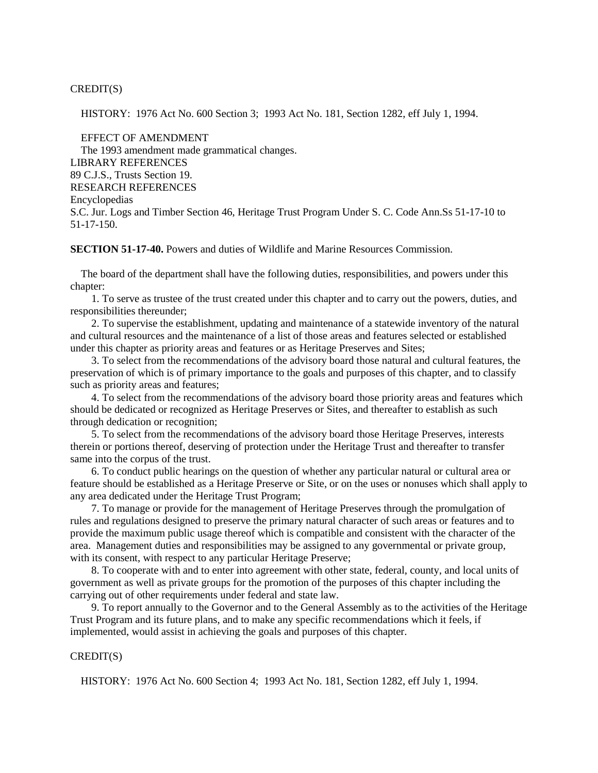CREDIT(S)

HISTORY: 1976 Act No. 600 Section 3; 1993 Act No. 181, Section 1282, eff July 1, 1994.

EFFECT OF AMENDMENT The 1993 amendment made grammatical changes. LIBRARY REFERENCES 89 C.J.S., Trusts Section 19. RESEARCH REFERENCES Encyclopedias S.C. Jur. Logs and Timber Section 46, Heritage Trust Program Under S. C. Code Ann.Ss 51-17-10 to 51-17-150.

**SECTION 51-17-40.** Powers and duties of Wildlife and Marine Resources Commission.

The board of the department shall have the following duties, responsibilities, and powers under this chapter:

1. To serve as trustee of the trust created under this chapter and to carry out the powers, duties, and responsibilities thereunder;

2. To supervise the establishment, updating and maintenance of a statewide inventory of the natural and cultural resources and the maintenance of a list of those areas and features selected or established under this chapter as priority areas and features or as Heritage Preserves and Sites;

3. To select from the recommendations of the advisory board those natural and cultural features, the preservation of which is of primary importance to the goals and purposes of this chapter, and to classify such as priority areas and features;

4. To select from the recommendations of the advisory board those priority areas and features which should be dedicated or recognized as Heritage Preserves or Sites, and thereafter to establish as such through dedication or recognition;

5. To select from the recommendations of the advisory board those Heritage Preserves, interests therein or portions thereof, deserving of protection under the Heritage Trust and thereafter to transfer same into the corpus of the trust.

6. To conduct public hearings on the question of whether any particular natural or cultural area or feature should be established as a Heritage Preserve or Site, or on the uses or nonuses which shall apply to any area dedicated under the Heritage Trust Program;

7. To manage or provide for the management of Heritage Preserves through the promulgation of rules and regulations designed to preserve the primary natural character of such areas or features and to provide the maximum public usage thereof which is compatible and consistent with the character of the area. Management duties and responsibilities may be assigned to any governmental or private group, with its consent, with respect to any particular Heritage Preserve;

8. To cooperate with and to enter into agreement with other state, federal, county, and local units of government as well as private groups for the promotion of the purposes of this chapter including the carrying out of other requirements under federal and state law.

9. To report annually to the Governor and to the General Assembly as to the activities of the Heritage Trust Program and its future plans, and to make any specific recommendations which it feels, if implemented, would assist in achieving the goals and purposes of this chapter.

### CREDIT(S)

HISTORY: 1976 Act No. 600 Section 4; 1993 Act No. 181, Section 1282, eff July 1, 1994.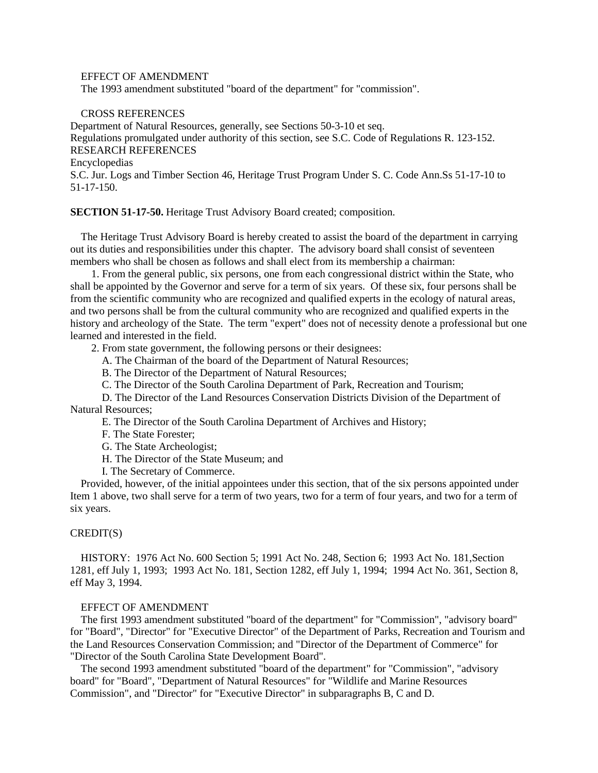# EFFECT OF AMENDMENT

The 1993 amendment substituted "board of the department" for "commission".

#### CROSS REFERENCES

Department of Natural Resources, generally, see Sections 50-3-10 et seq. Regulations promulgated under authority of this section, see S.C. Code of Regulations R. 123-152. RESEARCH REFERENCES Encyclopedias S.C. Jur. Logs and Timber Section 46, Heritage Trust Program Under S. C. Code Ann.Ss 51-17-10 to 51-17-150.

**SECTION 51-17-50.** Heritage Trust Advisory Board created; composition.

The Heritage Trust Advisory Board is hereby created to assist the board of the department in carrying out its duties and responsibilities under this chapter. The advisory board shall consist of seventeen members who shall be chosen as follows and shall elect from its membership a chairman:

1. From the general public, six persons, one from each congressional district within the State, who shall be appointed by the Governor and serve for a term of six years. Of these six, four persons shall be from the scientific community who are recognized and qualified experts in the ecology of natural areas, and two persons shall be from the cultural community who are recognized and qualified experts in the history and archeology of the State. The term "expert" does not of necessity denote a professional but one learned and interested in the field.

2. From state government, the following persons or their designees:

A. The Chairman of the board of the Department of Natural Resources;

B. The Director of the Department of Natural Resources;

C. The Director of the South Carolina Department of Park, Recreation and Tourism;

D. The Director of the Land Resources Conservation Districts Division of the Department of Natural Resources;

E. The Director of the South Carolina Department of Archives and History;

F. The State Forester;

G. The State Archeologist;

H. The Director of the State Museum; and

I. The Secretary of Commerce.

Provided, however, of the initial appointees under this section, that of the six persons appointed under Item 1 above, two shall serve for a term of two years, two for a term of four years, and two for a term of six years.

### CREDIT(S)

HISTORY: 1976 Act No. 600 Section 5; 1991 Act No. 248, Section 6; 1993 Act No. 181,Section 1281, eff July 1, 1993; 1993 Act No. 181, Section 1282, eff July 1, 1994; 1994 Act No. 361, Section 8, eff May 3, 1994.

# EFFECT OF AMENDMENT

The first 1993 amendment substituted "board of the department" for "Commission", "advisory board" for "Board", "Director" for "Executive Director" of the Department of Parks, Recreation and Tourism and the Land Resources Conservation Commission; and "Director of the Department of Commerce" for "Director of the South Carolina State Development Board".

The second 1993 amendment substituted "board of the department" for "Commission", "advisory board" for "Board", "Department of Natural Resources" for "Wildlife and Marine Resources Commission", and "Director" for "Executive Director" in subparagraphs B, C and D.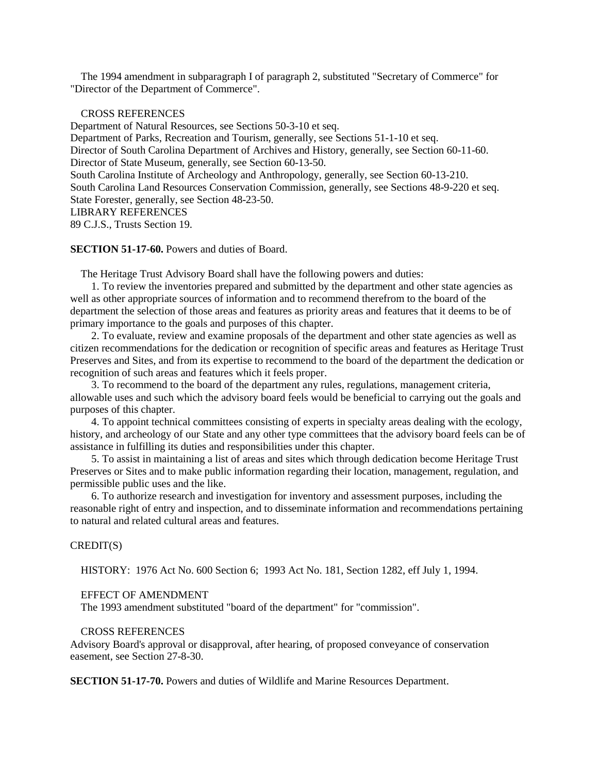The 1994 amendment in subparagraph I of paragraph 2, substituted "Secretary of Commerce" for "Director of the Department of Commerce".

### CROSS REFERENCES

Department of Natural Resources, see Sections 50-3-10 et seq. Department of Parks, Recreation and Tourism, generally, see Sections 51-1-10 et seq. Director of South Carolina Department of Archives and History, generally, see Section 60-11-60. Director of State Museum, generally, see Section 60-13-50. South Carolina Institute of Archeology and Anthropology, generally, see Section 60-13-210. South Carolina Land Resources Conservation Commission, generally, see Sections 48-9-220 et seq. State Forester, generally, see Section 48-23-50. LIBRARY REFERENCES 89 C.J.S., Trusts Section 19.

# **SECTION 51-17-60.** Powers and duties of Board.

The Heritage Trust Advisory Board shall have the following powers and duties:

1. To review the inventories prepared and submitted by the department and other state agencies as well as other appropriate sources of information and to recommend therefrom to the board of the department the selection of those areas and features as priority areas and features that it deems to be of primary importance to the goals and purposes of this chapter.

2. To evaluate, review and examine proposals of the department and other state agencies as well as citizen recommendations for the dedication or recognition of specific areas and features as Heritage Trust Preserves and Sites, and from its expertise to recommend to the board of the department the dedication or recognition of such areas and features which it feels proper.

3. To recommend to the board of the department any rules, regulations, management criteria, allowable uses and such which the advisory board feels would be beneficial to carrying out the goals and purposes of this chapter.

4. To appoint technical committees consisting of experts in specialty areas dealing with the ecology, history, and archeology of our State and any other type committees that the advisory board feels can be of assistance in fulfilling its duties and responsibilities under this chapter.

5. To assist in maintaining a list of areas and sites which through dedication become Heritage Trust Preserves or Sites and to make public information regarding their location, management, regulation, and permissible public uses and the like.

6. To authorize research and investigation for inventory and assessment purposes, including the reasonable right of entry and inspection, and to disseminate information and recommendations pertaining to natural and related cultural areas and features.

### CREDIT(S)

HISTORY: 1976 Act No. 600 Section 6; 1993 Act No. 181, Section 1282, eff July 1, 1994.

#### EFFECT OF AMENDMENT

The 1993 amendment substituted "board of the department" for "commission".

### CROSS REFERENCES

Advisory Board's approval or disapproval, after hearing, of proposed conveyance of conservation easement, see Section 27-8-30.

**SECTION 51-17-70.** Powers and duties of Wildlife and Marine Resources Department.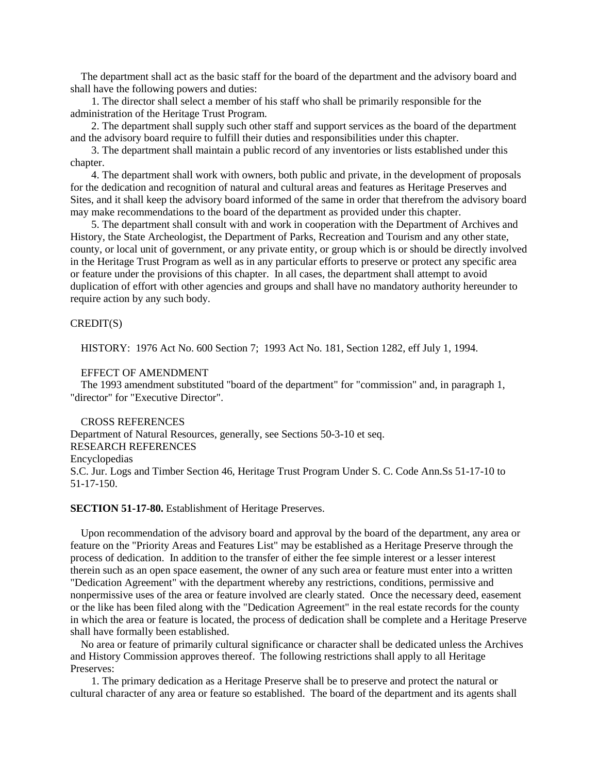The department shall act as the basic staff for the board of the department and the advisory board and shall have the following powers and duties:

1. The director shall select a member of his staff who shall be primarily responsible for the administration of the Heritage Trust Program.

2. The department shall supply such other staff and support services as the board of the department and the advisory board require to fulfill their duties and responsibilities under this chapter.

3. The department shall maintain a public record of any inventories or lists established under this chapter.

4. The department shall work with owners, both public and private, in the development of proposals for the dedication and recognition of natural and cultural areas and features as Heritage Preserves and Sites, and it shall keep the advisory board informed of the same in order that therefrom the advisory board may make recommendations to the board of the department as provided under this chapter.

5. The department shall consult with and work in cooperation with the Department of Archives and History, the State Archeologist, the Department of Parks, Recreation and Tourism and any other state, county, or local unit of government, or any private entity, or group which is or should be directly involved in the Heritage Trust Program as well as in any particular efforts to preserve or protect any specific area or feature under the provisions of this chapter. In all cases, the department shall attempt to avoid duplication of effort with other agencies and groups and shall have no mandatory authority hereunder to require action by any such body.

# CREDIT(S)

HISTORY: 1976 Act No. 600 Section 7; 1993 Act No. 181, Section 1282, eff July 1, 1994.

# EFFECT OF AMENDMENT

The 1993 amendment substituted "board of the department" for "commission" and, in paragraph 1, "director" for "Executive Director".

CROSS REFERENCES Department of Natural Resources, generally, see Sections 50-3-10 et seq. RESEARCH REFERENCES Encyclopedias S.C. Jur. Logs and Timber Section 46, Heritage Trust Program Under S. C. Code Ann.Ss 51-17-10 to 51-17-150.

### **SECTION 51-17-80.** Establishment of Heritage Preserves.

Upon recommendation of the advisory board and approval by the board of the department, any area or feature on the "Priority Areas and Features List" may be established as a Heritage Preserve through the process of dedication. In addition to the transfer of either the fee simple interest or a lesser interest therein such as an open space easement, the owner of any such area or feature must enter into a written "Dedication Agreement" with the department whereby any restrictions, conditions, permissive and nonpermissive uses of the area or feature involved are clearly stated. Once the necessary deed, easement or the like has been filed along with the "Dedication Agreement" in the real estate records for the county in which the area or feature is located, the process of dedication shall be complete and a Heritage Preserve shall have formally been established.

No area or feature of primarily cultural significance or character shall be dedicated unless the Archives and History Commission approves thereof. The following restrictions shall apply to all Heritage Preserves:

1. The primary dedication as a Heritage Preserve shall be to preserve and protect the natural or cultural character of any area or feature so established. The board of the department and its agents shall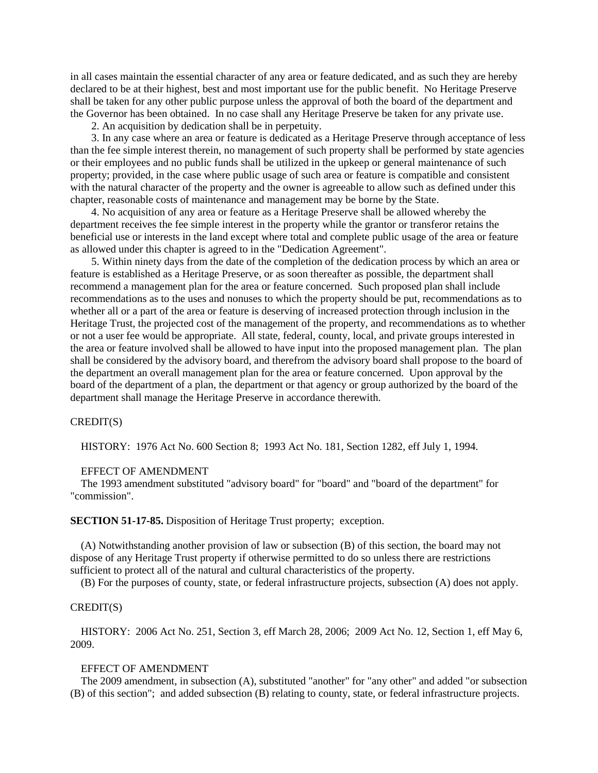in all cases maintain the essential character of any area or feature dedicated, and as such they are hereby declared to be at their highest, best and most important use for the public benefit. No Heritage Preserve shall be taken for any other public purpose unless the approval of both the board of the department and the Governor has been obtained. In no case shall any Heritage Preserve be taken for any private use.

2. An acquisition by dedication shall be in perpetuity.

3. In any case where an area or feature is dedicated as a Heritage Preserve through acceptance of less than the fee simple interest therein, no management of such property shall be performed by state agencies or their employees and no public funds shall be utilized in the upkeep or general maintenance of such property; provided, in the case where public usage of such area or feature is compatible and consistent with the natural character of the property and the owner is agreeable to allow such as defined under this chapter, reasonable costs of maintenance and management may be borne by the State.

4. No acquisition of any area or feature as a Heritage Preserve shall be allowed whereby the department receives the fee simple interest in the property while the grantor or transferor retains the beneficial use or interests in the land except where total and complete public usage of the area or feature as allowed under this chapter is agreed to in the "Dedication Agreement".

5. Within ninety days from the date of the completion of the dedication process by which an area or feature is established as a Heritage Preserve, or as soon thereafter as possible, the department shall recommend a management plan for the area or feature concerned. Such proposed plan shall include recommendations as to the uses and nonuses to which the property should be put, recommendations as to whether all or a part of the area or feature is deserving of increased protection through inclusion in the Heritage Trust, the projected cost of the management of the property, and recommendations as to whether or not a user fee would be appropriate. All state, federal, county, local, and private groups interested in the area or feature involved shall be allowed to have input into the proposed management plan. The plan shall be considered by the advisory board, and therefrom the advisory board shall propose to the board of the department an overall management plan for the area or feature concerned. Upon approval by the board of the department of a plan, the department or that agency or group authorized by the board of the department shall manage the Heritage Preserve in accordance therewith.

### CREDIT(S)

HISTORY: 1976 Act No. 600 Section 8; 1993 Act No. 181, Section 1282, eff July 1, 1994.

# EFFECT OF AMENDMENT

The 1993 amendment substituted "advisory board" for "board" and "board of the department" for "commission".

# **SECTION 51-17-85.** Disposition of Heritage Trust property; exception.

(A) Notwithstanding another provision of law or subsection (B) of this section, the board may not dispose of any Heritage Trust property if otherwise permitted to do so unless there are restrictions sufficient to protect all of the natural and cultural characteristics of the property.

(B) For the purposes of county, state, or federal infrastructure projects, subsection (A) does not apply.

# CREDIT(S)

HISTORY: 2006 Act No. 251, Section 3, eff March 28, 2006; 2009 Act No. 12, Section 1, eff May 6, 2009.

### EFFECT OF AMENDMENT

The 2009 amendment, in subsection (A), substituted "another" for "any other" and added "or subsection (B) of this section"; and added subsection (B) relating to county, state, or federal infrastructure projects.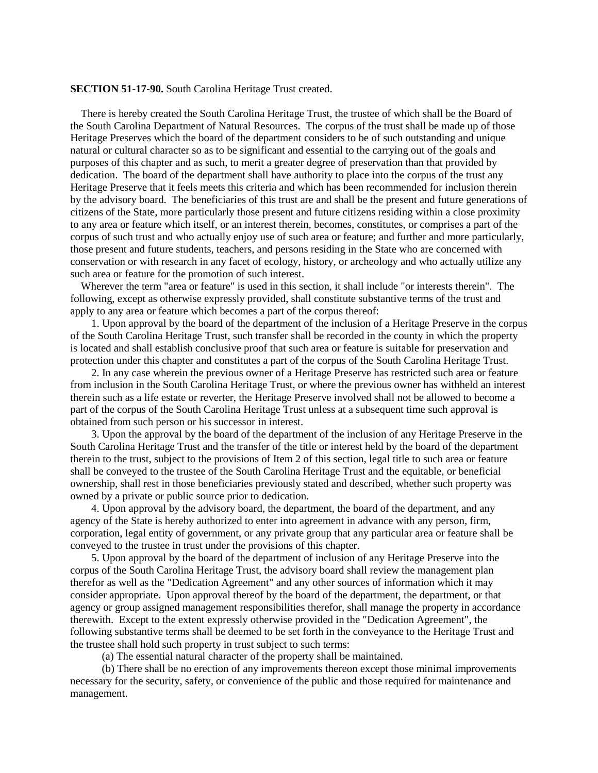### **SECTION 51-17-90.** South Carolina Heritage Trust created.

There is hereby created the South Carolina Heritage Trust, the trustee of which shall be the Board of the South Carolina Department of Natural Resources. The corpus of the trust shall be made up of those Heritage Preserves which the board of the department considers to be of such outstanding and unique natural or cultural character so as to be significant and essential to the carrying out of the goals and purposes of this chapter and as such, to merit a greater degree of preservation than that provided by dedication. The board of the department shall have authority to place into the corpus of the trust any Heritage Preserve that it feels meets this criteria and which has been recommended for inclusion therein by the advisory board. The beneficiaries of this trust are and shall be the present and future generations of citizens of the State, more particularly those present and future citizens residing within a close proximity to any area or feature which itself, or an interest therein, becomes, constitutes, or comprises a part of the corpus of such trust and who actually enjoy use of such area or feature; and further and more particularly, those present and future students, teachers, and persons residing in the State who are concerned with conservation or with research in any facet of ecology, history, or archeology and who actually utilize any such area or feature for the promotion of such interest.

Wherever the term "area or feature" is used in this section, it shall include "or interests therein". The following, except as otherwise expressly provided, shall constitute substantive terms of the trust and apply to any area or feature which becomes a part of the corpus thereof:

1. Upon approval by the board of the department of the inclusion of a Heritage Preserve in the corpus of the South Carolina Heritage Trust, such transfer shall be recorded in the county in which the property is located and shall establish conclusive proof that such area or feature is suitable for preservation and protection under this chapter and constitutes a part of the corpus of the South Carolina Heritage Trust.

2. In any case wherein the previous owner of a Heritage Preserve has restricted such area or feature from inclusion in the South Carolina Heritage Trust, or where the previous owner has withheld an interest therein such as a life estate or reverter, the Heritage Preserve involved shall not be allowed to become a part of the corpus of the South Carolina Heritage Trust unless at a subsequent time such approval is obtained from such person or his successor in interest.

3. Upon the approval by the board of the department of the inclusion of any Heritage Preserve in the South Carolina Heritage Trust and the transfer of the title or interest held by the board of the department therein to the trust, subject to the provisions of Item 2 of this section, legal title to such area or feature shall be conveyed to the trustee of the South Carolina Heritage Trust and the equitable, or beneficial ownership, shall rest in those beneficiaries previously stated and described, whether such property was owned by a private or public source prior to dedication.

4. Upon approval by the advisory board, the department, the board of the department, and any agency of the State is hereby authorized to enter into agreement in advance with any person, firm, corporation, legal entity of government, or any private group that any particular area or feature shall be conveyed to the trustee in trust under the provisions of this chapter.

5. Upon approval by the board of the department of inclusion of any Heritage Preserve into the corpus of the South Carolina Heritage Trust, the advisory board shall review the management plan therefor as well as the "Dedication Agreement" and any other sources of information which it may consider appropriate. Upon approval thereof by the board of the department, the department, or that agency or group assigned management responsibilities therefor, shall manage the property in accordance therewith. Except to the extent expressly otherwise provided in the "Dedication Agreement", the following substantive terms shall be deemed to be set forth in the conveyance to the Heritage Trust and the trustee shall hold such property in trust subject to such terms:

(a) The essential natural character of the property shall be maintained.

(b) There shall be no erection of any improvements thereon except those minimal improvements necessary for the security, safety, or convenience of the public and those required for maintenance and management.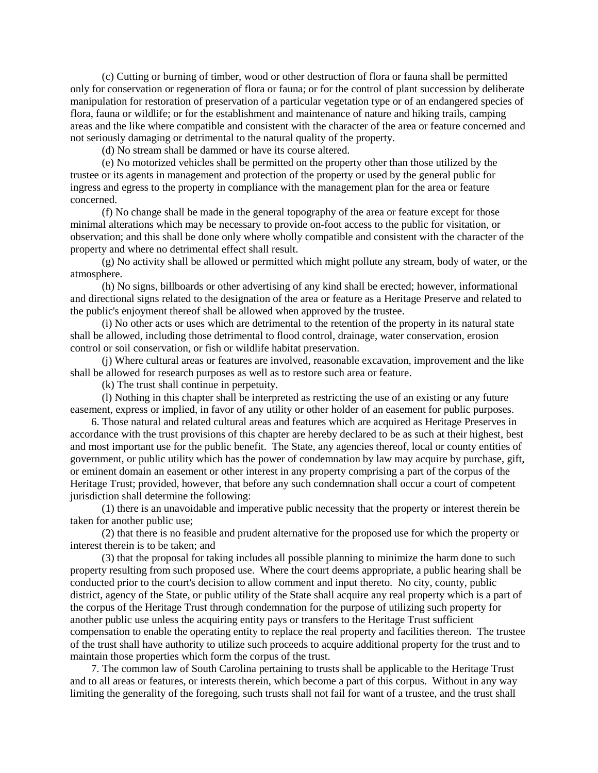(c) Cutting or burning of timber, wood or other destruction of flora or fauna shall be permitted only for conservation or regeneration of flora or fauna; or for the control of plant succession by deliberate manipulation for restoration of preservation of a particular vegetation type or of an endangered species of flora, fauna or wildlife; or for the establishment and maintenance of nature and hiking trails, camping areas and the like where compatible and consistent with the character of the area or feature concerned and not seriously damaging or detrimental to the natural quality of the property.

(d) No stream shall be dammed or have its course altered.

(e) No motorized vehicles shall be permitted on the property other than those utilized by the trustee or its agents in management and protection of the property or used by the general public for ingress and egress to the property in compliance with the management plan for the area or feature concerned.

(f) No change shall be made in the general topography of the area or feature except for those minimal alterations which may be necessary to provide on-foot access to the public for visitation, or observation; and this shall be done only where wholly compatible and consistent with the character of the property and where no detrimental effect shall result.

(g) No activity shall be allowed or permitted which might pollute any stream, body of water, or the atmosphere.

(h) No signs, billboards or other advertising of any kind shall be erected; however, informational and directional signs related to the designation of the area or feature as a Heritage Preserve and related to the public's enjoyment thereof shall be allowed when approved by the trustee.

(i) No other acts or uses which are detrimental to the retention of the property in its natural state shall be allowed, including those detrimental to flood control, drainage, water conservation, erosion control or soil conservation, or fish or wildlife habitat preservation.

(j) Where cultural areas or features are involved, reasonable excavation, improvement and the like shall be allowed for research purposes as well as to restore such area or feature.

(k) The trust shall continue in perpetuity.

(l) Nothing in this chapter shall be interpreted as restricting the use of an existing or any future easement, express or implied, in favor of any utility or other holder of an easement for public purposes.

6. Those natural and related cultural areas and features which are acquired as Heritage Preserves in accordance with the trust provisions of this chapter are hereby declared to be as such at their highest, best and most important use for the public benefit. The State, any agencies thereof, local or county entities of government, or public utility which has the power of condemnation by law may acquire by purchase, gift, or eminent domain an easement or other interest in any property comprising a part of the corpus of the Heritage Trust; provided, however, that before any such condemnation shall occur a court of competent jurisdiction shall determine the following:

(1) there is an unavoidable and imperative public necessity that the property or interest therein be taken for another public use;

(2) that there is no feasible and prudent alternative for the proposed use for which the property or interest therein is to be taken; and

(3) that the proposal for taking includes all possible planning to minimize the harm done to such property resulting from such proposed use. Where the court deems appropriate, a public hearing shall be conducted prior to the court's decision to allow comment and input thereto. No city, county, public district, agency of the State, or public utility of the State shall acquire any real property which is a part of the corpus of the Heritage Trust through condemnation for the purpose of utilizing such property for another public use unless the acquiring entity pays or transfers to the Heritage Trust sufficient compensation to enable the operating entity to replace the real property and facilities thereon. The trustee of the trust shall have authority to utilize such proceeds to acquire additional property for the trust and to maintain those properties which form the corpus of the trust.

7. The common law of South Carolina pertaining to trusts shall be applicable to the Heritage Trust and to all areas or features, or interests therein, which become a part of this corpus. Without in any way limiting the generality of the foregoing, such trusts shall not fail for want of a trustee, and the trust shall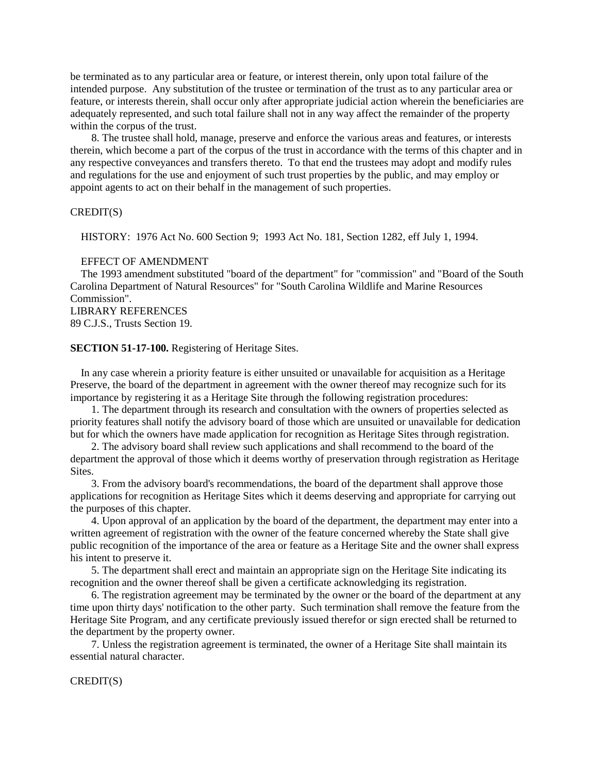be terminated as to any particular area or feature, or interest therein, only upon total failure of the intended purpose. Any substitution of the trustee or termination of the trust as to any particular area or feature, or interests therein, shall occur only after appropriate judicial action wherein the beneficiaries are adequately represented, and such total failure shall not in any way affect the remainder of the property within the corpus of the trust.

8. The trustee shall hold, manage, preserve and enforce the various areas and features, or interests therein, which become a part of the corpus of the trust in accordance with the terms of this chapter and in any respective conveyances and transfers thereto. To that end the trustees may adopt and modify rules and regulations for the use and enjoyment of such trust properties by the public, and may employ or appoint agents to act on their behalf in the management of such properties.

### CREDIT(S)

HISTORY: 1976 Act No. 600 Section 9; 1993 Act No. 181, Section 1282, eff July 1, 1994.

### EFFECT OF AMENDMENT

The 1993 amendment substituted "board of the department" for "commission" and "Board of the South Carolina Department of Natural Resources" for "South Carolina Wildlife and Marine Resources Commission".

LIBRARY REFERENCES 89 C.J.S., Trusts Section 19.

### **SECTION 51-17-100.** Registering of Heritage Sites.

In any case wherein a priority feature is either unsuited or unavailable for acquisition as a Heritage Preserve, the board of the department in agreement with the owner thereof may recognize such for its importance by registering it as a Heritage Site through the following registration procedures:

1. The department through its research and consultation with the owners of properties selected as priority features shall notify the advisory board of those which are unsuited or unavailable for dedication but for which the owners have made application for recognition as Heritage Sites through registration.

2. The advisory board shall review such applications and shall recommend to the board of the department the approval of those which it deems worthy of preservation through registration as Heritage Sites.

3. From the advisory board's recommendations, the board of the department shall approve those applications for recognition as Heritage Sites which it deems deserving and appropriate for carrying out the purposes of this chapter.

4. Upon approval of an application by the board of the department, the department may enter into a written agreement of registration with the owner of the feature concerned whereby the State shall give public recognition of the importance of the area or feature as a Heritage Site and the owner shall express his intent to preserve it.

5. The department shall erect and maintain an appropriate sign on the Heritage Site indicating its recognition and the owner thereof shall be given a certificate acknowledging its registration.

6. The registration agreement may be terminated by the owner or the board of the department at any time upon thirty days' notification to the other party. Such termination shall remove the feature from the Heritage Site Program, and any certificate previously issued therefor or sign erected shall be returned to the department by the property owner.

7. Unless the registration agreement is terminated, the owner of a Heritage Site shall maintain its essential natural character.

### CREDIT(S)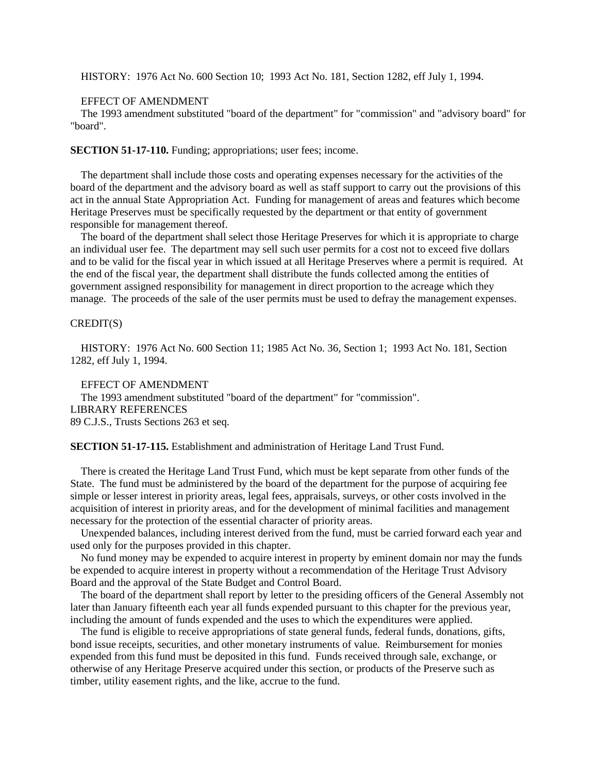HISTORY: 1976 Act No. 600 Section 10; 1993 Act No. 181, Section 1282, eff July 1, 1994.

#### EFFECT OF AMENDMENT

The 1993 amendment substituted "board of the department" for "commission" and "advisory board" for "board".

**SECTION 51-17-110.** Funding; appropriations; user fees; income.

The department shall include those costs and operating expenses necessary for the activities of the board of the department and the advisory board as well as staff support to carry out the provisions of this act in the annual State Appropriation Act. Funding for management of areas and features which become Heritage Preserves must be specifically requested by the department or that entity of government responsible for management thereof.

The board of the department shall select those Heritage Preserves for which it is appropriate to charge an individual user fee. The department may sell such user permits for a cost not to exceed five dollars and to be valid for the fiscal year in which issued at all Heritage Preserves where a permit is required. At the end of the fiscal year, the department shall distribute the funds collected among the entities of government assigned responsibility for management in direct proportion to the acreage which they manage. The proceeds of the sale of the user permits must be used to defray the management expenses.

# CREDIT(S)

HISTORY: 1976 Act No. 600 Section 11; 1985 Act No. 36, Section 1; 1993 Act No. 181, Section 1282, eff July 1, 1994.

EFFECT OF AMENDMENT

The 1993 amendment substituted "board of the department" for "commission". LIBRARY REFERENCES 89 C.J.S., Trusts Sections 263 et seq.

**SECTION 51-17-115.** Establishment and administration of Heritage Land Trust Fund.

There is created the Heritage Land Trust Fund, which must be kept separate from other funds of the State. The fund must be administered by the board of the department for the purpose of acquiring fee simple or lesser interest in priority areas, legal fees, appraisals, surveys, or other costs involved in the acquisition of interest in priority areas, and for the development of minimal facilities and management necessary for the protection of the essential character of priority areas.

Unexpended balances, including interest derived from the fund, must be carried forward each year and used only for the purposes provided in this chapter.

No fund money may be expended to acquire interest in property by eminent domain nor may the funds be expended to acquire interest in property without a recommendation of the Heritage Trust Advisory Board and the approval of the State Budget and Control Board.

The board of the department shall report by letter to the presiding officers of the General Assembly not later than January fifteenth each year all funds expended pursuant to this chapter for the previous year, including the amount of funds expended and the uses to which the expenditures were applied.

The fund is eligible to receive appropriations of state general funds, federal funds, donations, gifts, bond issue receipts, securities, and other monetary instruments of value. Reimbursement for monies expended from this fund must be deposited in this fund. Funds received through sale, exchange, or otherwise of any Heritage Preserve acquired under this section, or products of the Preserve such as timber, utility easement rights, and the like, accrue to the fund.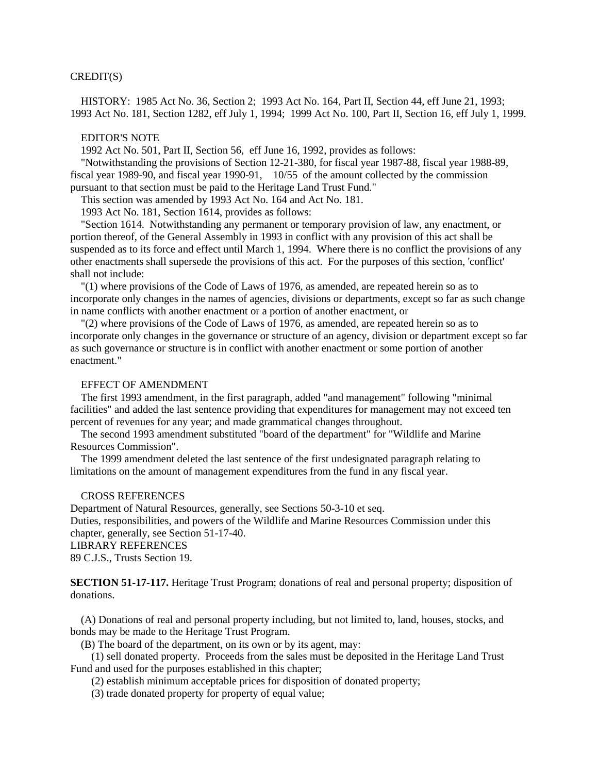# CREDIT(S)

HISTORY: 1985 Act No. 36, Section 2; 1993 Act No. 164, Part II, Section 44, eff June 21, 1993; 1993 Act No. 181, Section 1282, eff July 1, 1994; 1999 Act No. 100, Part II, Section 16, eff July 1, 1999.

#### EDITOR'S NOTE

1992 Act No. 501, Part II, Section 56, eff June 16, 1992, provides as follows:

"Notwithstanding the provisions of Section 12-21-380, for fiscal year 1987-88, fiscal year 1988-89, fiscal year 1989-90, and fiscal year 1990-91, 10/55 of the amount collected by the commission pursuant to that section must be paid to the Heritage Land Trust Fund."

This section was amended by 1993 Act No. 164 and Act No. 181.

1993 Act No. 181, Section 1614, provides as follows:

"Section 1614. Notwithstanding any permanent or temporary provision of law, any enactment, or portion thereof, of the General Assembly in 1993 in conflict with any provision of this act shall be suspended as to its force and effect until March 1, 1994. Where there is no conflict the provisions of any other enactments shall supersede the provisions of this act. For the purposes of this section, 'conflict' shall not include:

"(1) where provisions of the Code of Laws of 1976, as amended, are repeated herein so as to incorporate only changes in the names of agencies, divisions or departments, except so far as such change in name conflicts with another enactment or a portion of another enactment, or

"(2) where provisions of the Code of Laws of 1976, as amended, are repeated herein so as to incorporate only changes in the governance or structure of an agency, division or department except so far as such governance or structure is in conflict with another enactment or some portion of another enactment."

### EFFECT OF AMENDMENT

The first 1993 amendment, in the first paragraph, added "and management" following "minimal facilities" and added the last sentence providing that expenditures for management may not exceed ten percent of revenues for any year; and made grammatical changes throughout.

The second 1993 amendment substituted "board of the department" for "Wildlife and Marine Resources Commission".

The 1999 amendment deleted the last sentence of the first undesignated paragraph relating to limitations on the amount of management expenditures from the fund in any fiscal year.

# CROSS REFERENCES

Department of Natural Resources, generally, see Sections 50-3-10 et seq. Duties, responsibilities, and powers of the Wildlife and Marine Resources Commission under this chapter, generally, see Section 51-17-40. LIBRARY REFERENCES

89 C.J.S., Trusts Section 19.

**SECTION 51-17-117.** Heritage Trust Program; donations of real and personal property; disposition of donations.

(A) Donations of real and personal property including, but not limited to, land, houses, stocks, and bonds may be made to the Heritage Trust Program.

(B) The board of the department, on its own or by its agent, may:

(1) sell donated property. Proceeds from the sales must be deposited in the Heritage Land Trust Fund and used for the purposes established in this chapter;

(2) establish minimum acceptable prices for disposition of donated property;

(3) trade donated property for property of equal value;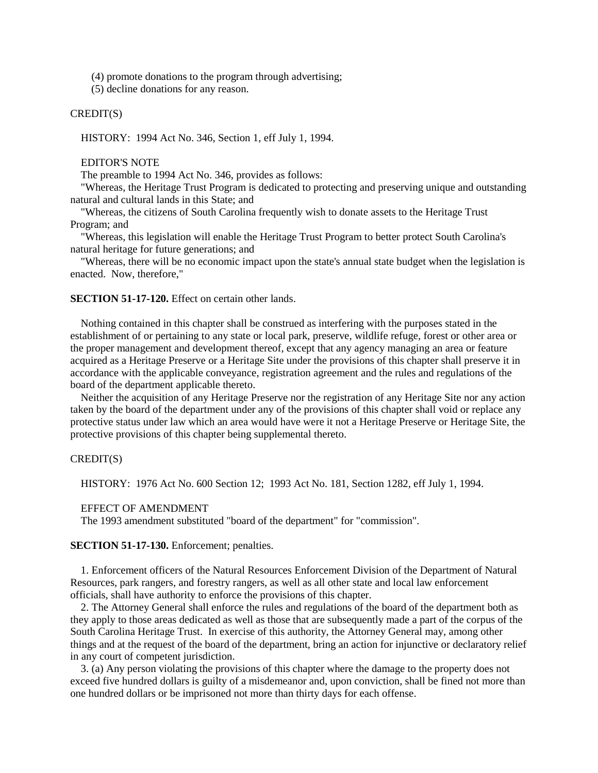(4) promote donations to the program through advertising;

(5) decline donations for any reason.

# CREDIT(S)

HISTORY: 1994 Act No. 346, Section 1, eff July 1, 1994.

### EDITOR'S NOTE

The preamble to 1994 Act No. 346, provides as follows:

"Whereas, the Heritage Trust Program is dedicated to protecting and preserving unique and outstanding natural and cultural lands in this State; and

"Whereas, the citizens of South Carolina frequently wish to donate assets to the Heritage Trust Program; and

"Whereas, this legislation will enable the Heritage Trust Program to better protect South Carolina's natural heritage for future generations; and

"Whereas, there will be no economic impact upon the state's annual state budget when the legislation is enacted. Now, therefore,"

#### **SECTION 51-17-120.** Effect on certain other lands.

Nothing contained in this chapter shall be construed as interfering with the purposes stated in the establishment of or pertaining to any state or local park, preserve, wildlife refuge, forest or other area or the proper management and development thereof, except that any agency managing an area or feature acquired as a Heritage Preserve or a Heritage Site under the provisions of this chapter shall preserve it in accordance with the applicable conveyance, registration agreement and the rules and regulations of the board of the department applicable thereto.

Neither the acquisition of any Heritage Preserve nor the registration of any Heritage Site nor any action taken by the board of the department under any of the provisions of this chapter shall void or replace any protective status under law which an area would have were it not a Heritage Preserve or Heritage Site, the protective provisions of this chapter being supplemental thereto.

# CREDIT(S)

HISTORY: 1976 Act No. 600 Section 12; 1993 Act No. 181, Section 1282, eff July 1, 1994.

#### EFFECT OF AMENDMENT

The 1993 amendment substituted "board of the department" for "commission".

# **SECTION 51-17-130.** Enforcement; penalties.

1. Enforcement officers of the Natural Resources Enforcement Division of the Department of Natural Resources, park rangers, and forestry rangers, as well as all other state and local law enforcement officials, shall have authority to enforce the provisions of this chapter.

2. The Attorney General shall enforce the rules and regulations of the board of the department both as they apply to those areas dedicated as well as those that are subsequently made a part of the corpus of the South Carolina Heritage Trust. In exercise of this authority, the Attorney General may, among other things and at the request of the board of the department, bring an action for injunctive or declaratory relief in any court of competent jurisdiction.

3. (a) Any person violating the provisions of this chapter where the damage to the property does not exceed five hundred dollars is guilty of a misdemeanor and, upon conviction, shall be fined not more than one hundred dollars or be imprisoned not more than thirty days for each offense.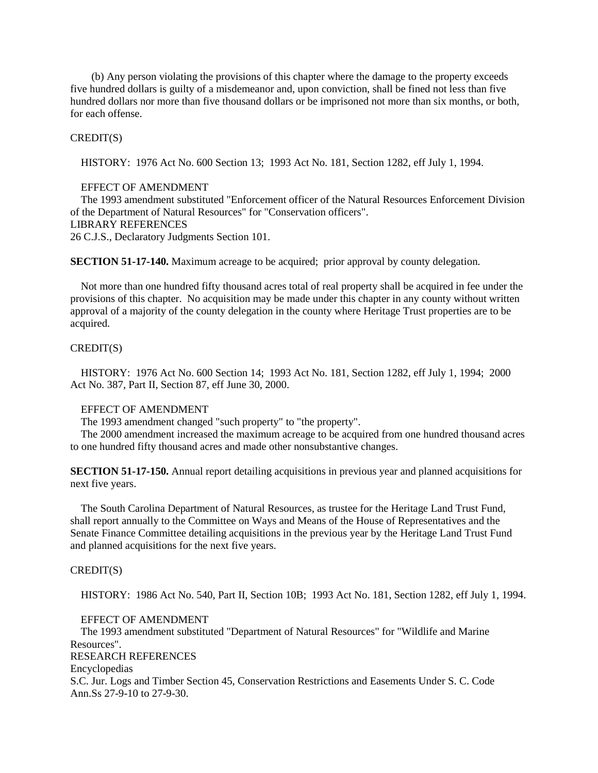(b) Any person violating the provisions of this chapter where the damage to the property exceeds five hundred dollars is guilty of a misdemeanor and, upon conviction, shall be fined not less than five hundred dollars nor more than five thousand dollars or be imprisoned not more than six months, or both, for each offense.

### CREDIT(S)

HISTORY: 1976 Act No. 600 Section 13; 1993 Act No. 181, Section 1282, eff July 1, 1994.

# EFFECT OF AMENDMENT

The 1993 amendment substituted "Enforcement officer of the Natural Resources Enforcement Division of the Department of Natural Resources" for "Conservation officers". LIBRARY REFERENCES 26 C.J.S., Declaratory Judgments Section 101.

**SECTION 51-17-140.** Maximum acreage to be acquired; prior approval by county delegation.

Not more than one hundred fifty thousand acres total of real property shall be acquired in fee under the provisions of this chapter. No acquisition may be made under this chapter in any county without written approval of a majority of the county delegation in the county where Heritage Trust properties are to be acquired.

### CREDIT(S)

HISTORY: 1976 Act No. 600 Section 14; 1993 Act No. 181, Section 1282, eff July 1, 1994; 2000 Act No. 387, Part II, Section 87, eff June 30, 2000.

# EFFECT OF AMENDMENT

The 1993 amendment changed "such property" to "the property".

The 2000 amendment increased the maximum acreage to be acquired from one hundred thousand acres to one hundred fifty thousand acres and made other nonsubstantive changes.

**SECTION 51-17-150.** Annual report detailing acquisitions in previous year and planned acquisitions for next five years.

The South Carolina Department of Natural Resources, as trustee for the Heritage Land Trust Fund, shall report annually to the Committee on Ways and Means of the House of Representatives and the Senate Finance Committee detailing acquisitions in the previous year by the Heritage Land Trust Fund and planned acquisitions for the next five years.

# CREDIT(S)

HISTORY: 1986 Act No. 540, Part II, Section 10B; 1993 Act No. 181, Section 1282, eff July 1, 1994.

# EFFECT OF AMENDMENT

The 1993 amendment substituted "Department of Natural Resources" for "Wildlife and Marine Resources". RESEARCH REFERENCES Encyclopedias S.C. Jur. Logs and Timber Section 45, Conservation Restrictions and Easements Under S. C. Code Ann.Ss 27-9-10 to 27-9-30.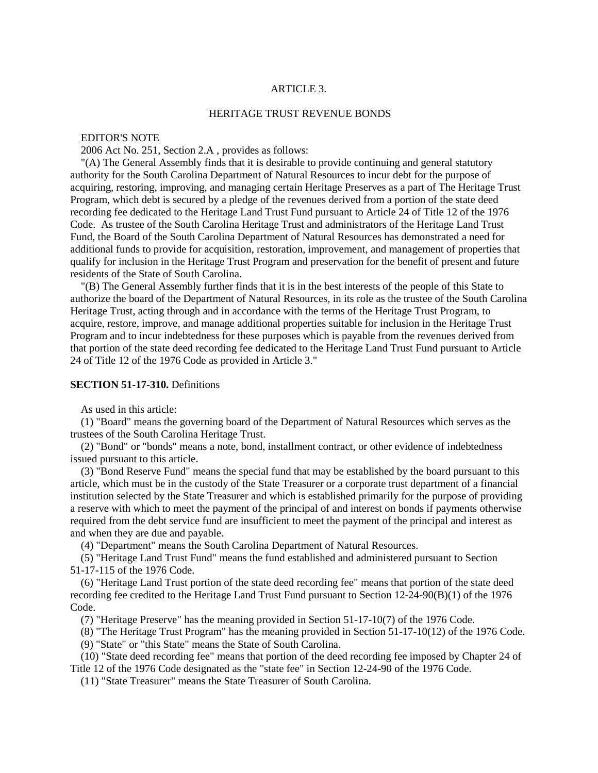# ARTICLE 3.

# HERITAGE TRUST REVENUE BONDS

# EDITOR'S NOTE

2006 Act No. 251, Section 2.A , provides as follows:

"(A) The General Assembly finds that it is desirable to provide continuing and general statutory authority for the South Carolina Department of Natural Resources to incur debt for the purpose of acquiring, restoring, improving, and managing certain Heritage Preserves as a part of The Heritage Trust Program, which debt is secured by a pledge of the revenues derived from a portion of the state deed recording fee dedicated to the Heritage Land Trust Fund pursuant to Article 24 of Title 12 of the 1976 Code. As trustee of the South Carolina Heritage Trust and administrators of the Heritage Land Trust Fund, the Board of the South Carolina Department of Natural Resources has demonstrated a need for additional funds to provide for acquisition, restoration, improvement, and management of properties that qualify for inclusion in the Heritage Trust Program and preservation for the benefit of present and future residents of the State of South Carolina.

"(B) The General Assembly further finds that it is in the best interests of the people of this State to authorize the board of the Department of Natural Resources, in its role as the trustee of the South Carolina Heritage Trust, acting through and in accordance with the terms of the Heritage Trust Program, to acquire, restore, improve, and manage additional properties suitable for inclusion in the Heritage Trust Program and to incur indebtedness for these purposes which is payable from the revenues derived from that portion of the state deed recording fee dedicated to the Heritage Land Trust Fund pursuant to Article 24 of Title 12 of the 1976 Code as provided in Article 3."

### **SECTION 51-17-310.** Definitions

As used in this article:

(1) "Board" means the governing board of the Department of Natural Resources which serves as the trustees of the South Carolina Heritage Trust.

(2) "Bond" or "bonds" means a note, bond, installment contract, or other evidence of indebtedness issued pursuant to this article.

(3) "Bond Reserve Fund" means the special fund that may be established by the board pursuant to this article, which must be in the custody of the State Treasurer or a corporate trust department of a financial institution selected by the State Treasurer and which is established primarily for the purpose of providing a reserve with which to meet the payment of the principal of and interest on bonds if payments otherwise required from the debt service fund are insufficient to meet the payment of the principal and interest as and when they are due and payable.

(4) "Department" means the South Carolina Department of Natural Resources.

(5) "Heritage Land Trust Fund" means the fund established and administered pursuant to Section 51-17-115 of the 1976 Code.

(6) "Heritage Land Trust portion of the state deed recording fee" means that portion of the state deed recording fee credited to the Heritage Land Trust Fund pursuant to Section 12-24-90(B)(1) of the 1976 Code.

(7) "Heritage Preserve" has the meaning provided in Section 51-17-10(7) of the 1976 Code.

(8) "The Heritage Trust Program" has the meaning provided in Section 51-17-10(12) of the 1976 Code.

(9) "State" or "this State" means the State of South Carolina.

(10) "State deed recording fee" means that portion of the deed recording fee imposed by Chapter 24 of Title 12 of the 1976 Code designated as the "state fee" in Section 12-24-90 of the 1976 Code.

(11) "State Treasurer" means the State Treasurer of South Carolina.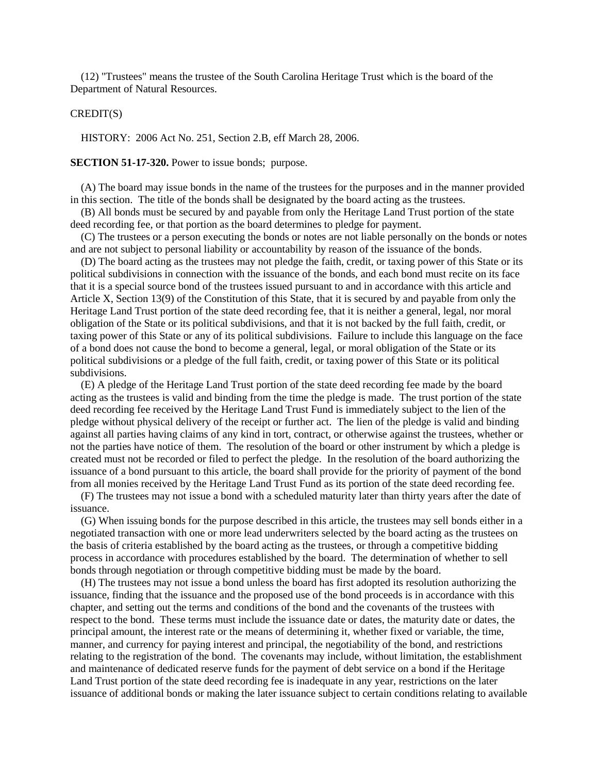(12) "Trustees" means the trustee of the South Carolina Heritage Trust which is the board of the Department of Natural Resources.

### CREDIT(S)

HISTORY: 2006 Act No. 251, Section 2.B, eff March 28, 2006.

**SECTION 51-17-320.** Power to issue bonds; purpose.

(A) The board may issue bonds in the name of the trustees for the purposes and in the manner provided in this section. The title of the bonds shall be designated by the board acting as the trustees.

(B) All bonds must be secured by and payable from only the Heritage Land Trust portion of the state deed recording fee, or that portion as the board determines to pledge for payment.

(C) The trustees or a person executing the bonds or notes are not liable personally on the bonds or notes and are not subject to personal liability or accountability by reason of the issuance of the bonds.

(D) The board acting as the trustees may not pledge the faith, credit, or taxing power of this State or its political subdivisions in connection with the issuance of the bonds, and each bond must recite on its face that it is a special source bond of the trustees issued pursuant to and in accordance with this article and Article X, Section 13(9) of the Constitution of this State, that it is secured by and payable from only the Heritage Land Trust portion of the state deed recording fee, that it is neither a general, legal, nor moral obligation of the State or its political subdivisions, and that it is not backed by the full faith, credit, or taxing power of this State or any of its political subdivisions. Failure to include this language on the face of a bond does not cause the bond to become a general, legal, or moral obligation of the State or its political subdivisions or a pledge of the full faith, credit, or taxing power of this State or its political subdivisions.

(E) A pledge of the Heritage Land Trust portion of the state deed recording fee made by the board acting as the trustees is valid and binding from the time the pledge is made. The trust portion of the state deed recording fee received by the Heritage Land Trust Fund is immediately subject to the lien of the pledge without physical delivery of the receipt or further act. The lien of the pledge is valid and binding against all parties having claims of any kind in tort, contract, or otherwise against the trustees, whether or not the parties have notice of them. The resolution of the board or other instrument by which a pledge is created must not be recorded or filed to perfect the pledge. In the resolution of the board authorizing the issuance of a bond pursuant to this article, the board shall provide for the priority of payment of the bond from all monies received by the Heritage Land Trust Fund as its portion of the state deed recording fee.

(F) The trustees may not issue a bond with a scheduled maturity later than thirty years after the date of issuance.

(G) When issuing bonds for the purpose described in this article, the trustees may sell bonds either in a negotiated transaction with one or more lead underwriters selected by the board acting as the trustees on the basis of criteria established by the board acting as the trustees, or through a competitive bidding process in accordance with procedures established by the board. The determination of whether to sell bonds through negotiation or through competitive bidding must be made by the board.

(H) The trustees may not issue a bond unless the board has first adopted its resolution authorizing the issuance, finding that the issuance and the proposed use of the bond proceeds is in accordance with this chapter, and setting out the terms and conditions of the bond and the covenants of the trustees with respect to the bond. These terms must include the issuance date or dates, the maturity date or dates, the principal amount, the interest rate or the means of determining it, whether fixed or variable, the time, manner, and currency for paying interest and principal, the negotiability of the bond, and restrictions relating to the registration of the bond. The covenants may include, without limitation, the establishment and maintenance of dedicated reserve funds for the payment of debt service on a bond if the Heritage Land Trust portion of the state deed recording fee is inadequate in any year, restrictions on the later issuance of additional bonds or making the later issuance subject to certain conditions relating to available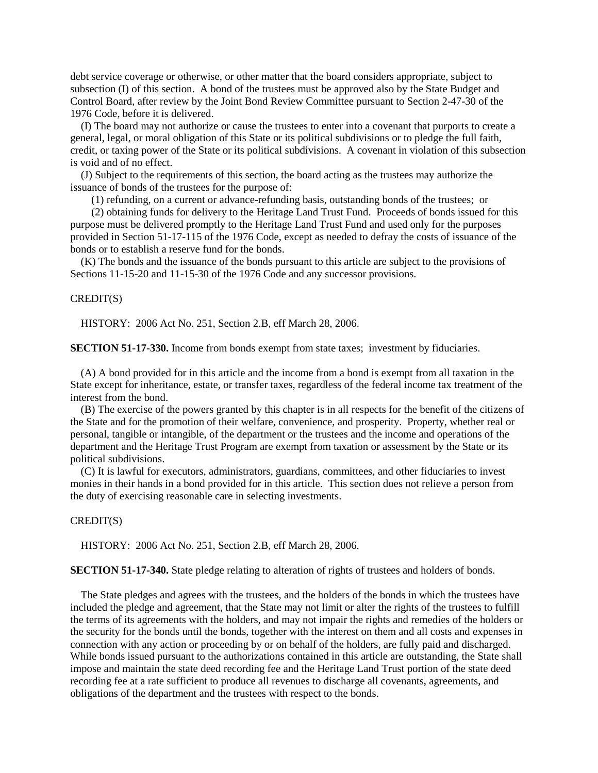debt service coverage or otherwise, or other matter that the board considers appropriate, subject to subsection (I) of this section. A bond of the trustees must be approved also by the State Budget and Control Board, after review by the Joint Bond Review Committee pursuant to Section 2-47-30 of the 1976 Code, before it is delivered.

(I) The board may not authorize or cause the trustees to enter into a covenant that purports to create a general, legal, or moral obligation of this State or its political subdivisions or to pledge the full faith, credit, or taxing power of the State or its political subdivisions. A covenant in violation of this subsection is void and of no effect.

(J) Subject to the requirements of this section, the board acting as the trustees may authorize the issuance of bonds of the trustees for the purpose of:

(1) refunding, on a current or advance-refunding basis, outstanding bonds of the trustees; or

(2) obtaining funds for delivery to the Heritage Land Trust Fund. Proceeds of bonds issued for this purpose must be delivered promptly to the Heritage Land Trust Fund and used only for the purposes provided in Section 51-17-115 of the 1976 Code, except as needed to defray the costs of issuance of the bonds or to establish a reserve fund for the bonds.

(K) The bonds and the issuance of the bonds pursuant to this article are subject to the provisions of Sections 11-15-20 and 11-15-30 of the 1976 Code and any successor provisions.

#### CREDIT(S)

HISTORY: 2006 Act No. 251, Section 2.B, eff March 28, 2006.

**SECTION 51-17-330.** Income from bonds exempt from state taxes; investment by fiduciaries.

(A) A bond provided for in this article and the income from a bond is exempt from all taxation in the State except for inheritance, estate, or transfer taxes, regardless of the federal income tax treatment of the interest from the bond.

(B) The exercise of the powers granted by this chapter is in all respects for the benefit of the citizens of the State and for the promotion of their welfare, convenience, and prosperity. Property, whether real or personal, tangible or intangible, of the department or the trustees and the income and operations of the department and the Heritage Trust Program are exempt from taxation or assessment by the State or its political subdivisions.

(C) It is lawful for executors, administrators, guardians, committees, and other fiduciaries to invest monies in their hands in a bond provided for in this article. This section does not relieve a person from the duty of exercising reasonable care in selecting investments.

# CREDIT(S)

HISTORY: 2006 Act No. 251, Section 2.B, eff March 28, 2006.

**SECTION 51-17-340.** State pledge relating to alteration of rights of trustees and holders of bonds.

The State pledges and agrees with the trustees, and the holders of the bonds in which the trustees have included the pledge and agreement, that the State may not limit or alter the rights of the trustees to fulfill the terms of its agreements with the holders, and may not impair the rights and remedies of the holders or the security for the bonds until the bonds, together with the interest on them and all costs and expenses in connection with any action or proceeding by or on behalf of the holders, are fully paid and discharged. While bonds issued pursuant to the authorizations contained in this article are outstanding, the State shall impose and maintain the state deed recording fee and the Heritage Land Trust portion of the state deed recording fee at a rate sufficient to produce all revenues to discharge all covenants, agreements, and obligations of the department and the trustees with respect to the bonds.